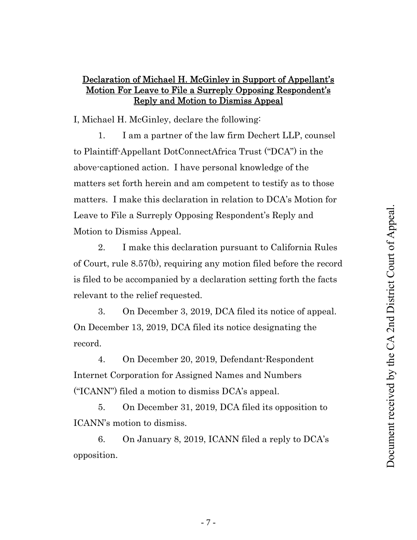## Declaration of Michael H. McGinley in Support of Appellant's Motion For Leave to File a Surreply Opposing Respondent's Reply and Motion to Dismiss Appeal

I, Michael H. McGinley, declare the following:

1. I am a partner of the law firm Dechert LLP, counsel to Plaintiff-Appellant DotConnectAfrica Trust ("DCA") in the above-captioned action. I have personal knowledge of the matters set forth herein and am competent to testify as to those matters. I make this declaration in relation to DCA's Motion for Leave to File a Surreply Opposing Respondent's Reply and Motion to Dismiss Appeal.

2. I make this declaration pursuant to California Rules of Court, rule 8.57(b), requiring any motion filed before the record is filed to be accompanied by a declaration setting forth the facts relevant to the relief requested.

3. On December 3, 2019, DCA filed its notice of appeal. On December 13, 2019, DCA filed its notice designating the record.

4. On December 20, 2019, Defendant-Respondent Internet Corporation for Assigned Names and Numbers ("ICANN") filed a motion to dismiss DCA's appeal.

5. On December 31, 2019, DCA filed its opposition to ICANN's motion to dismiss.

6. On January 8, 2019, ICANN filed a reply to DCA's opposition.